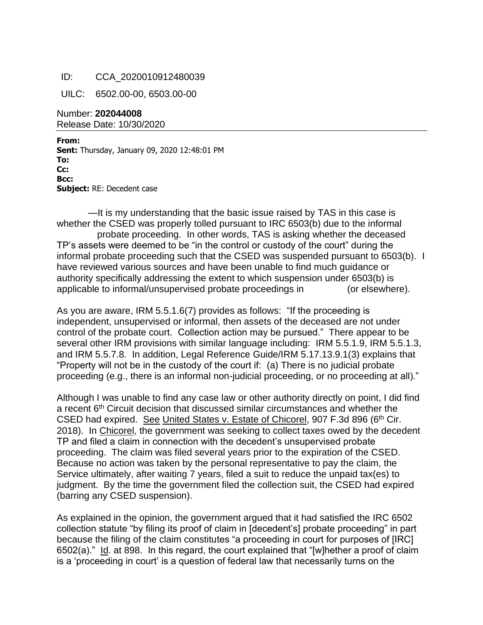## ID: CCA\_2020010912480039

UILC: 6502.00-00, 6503.00-00

Number: **202044008** Release Date: 10/30/2020

**From: Sent:** Thursday, January 09, 2020 12:48:01 PM To: **Cc:**  $-$ **Bcc: Subject:** RE: Decedent case

—It is my understanding that the basic issue raised by TAS in this case is whether the CSED was properly tolled pursuant to IRC  $6503(b)$  due to the informal probate proceeding. In other words, TAS is asking whether the deceased TP's assets were deemed to be "in the control or custody of the court" during the informal probate proceeding such that the CSED was suspended pursuant to 6503(b). I have reviewed various sources and have been unable to find much guidance or authority specifically addressing the extent to which suspension under 6503(b) is applicable to informal/unsupervised probate proceedings in  $\qquad \qquad$  (or elsewhere).

As you are aware, IRM 5.5.1.6(7) provides as follows: "If the proceeding is independent, unsupervised or informal, then assets of the deceased are not under control of the probate court. Collection action may be pursued." There appear to be several other IRM provisions with similar language including: IRM 5.5.1.9, IRM 5.5.1.3, and IRM 5.5.7.8. In addition, Legal Reference Guide/IRM 5.17.13.9.1(3) explains that "Property will not be in the custody of the court if: (a) There is no judicial probate proceeding (e.g., there is an informal non-judicial proceeding, or no proceeding at all)."

Although I was unable to find any case law or other authority directly on point, I did find a recent 6<sup>th</sup> Circuit decision that discussed similar circumstances and whether the CSED had expired. See United States v. Estate of Chicorel, 907 F.3d 896 (6<sup>th</sup> Cir. 2018). In Chicorel, the government was seeking to collect taxes owed by the decedent TP and filed a claim in connection with the decedent's unsupervised probate proceeding. The claim was filed several years prior to the expiration of the CSED. Because no action was taken by the personal representative to pay the claim, the Service ultimately, after waiting 7 years, filed a suit to reduce the unpaid tax(es) to judgment. By the time the government filed the collection suit, the CSED had expired (barring any CSED suspension).

As explained in the opinion, the government argued that it had satisfied the IRC 6502 collection statute "by filing its proof of claim in [decedent's] probate proceeding" in part because the filing of the claim constitutes "a proceeding in court for purposes of [IRC] 6502(a)." Id. at 898. In this regard, the court explained that "[w]hether a proof of claim is a 'proceeding in court' is a question of federal law that necessarily turns on the